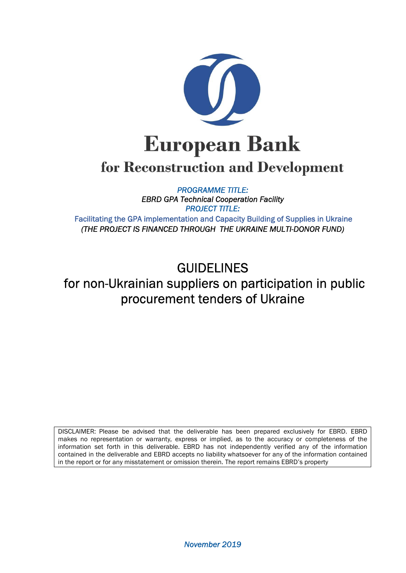

# for Reconstruction and Development

*PROGRAMME TITLE: EBRD GPA Technical Cooperation Facility PROJECT TITLE:*  Facilitating the GPA implementation and Capacity Building of Supplies in Ukraine *(THE PROJECT IS FINANCED THROUGH THE UKRAINE MULTI-DONOR FUND)* 

# GUIDELINES for non-Ukrainian suppliers on participation in public procurement tenders of Ukraine

DISCLAIMER: Please be advised that the deliverable has been prepared exclusively for EBRD. EBRD makes no representation or warranty, express or implied, as to the accuracy or completeness of the information set forth in this deliverable. EBRD has not independently verified any of the information contained in the deliverable and EBRD accepts no liability whatsoever for any of the information contained in the report or for any misstatement or omission therein. The report remains EBRD's property

*November 2019*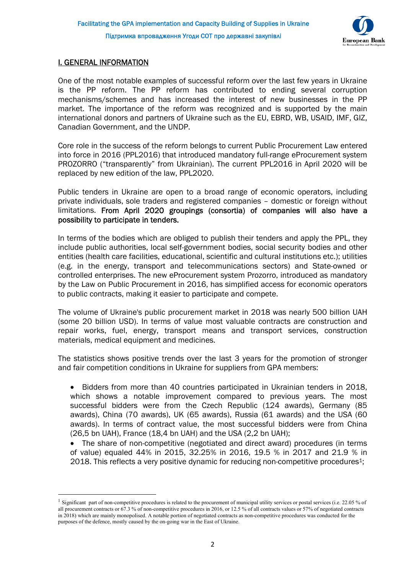

# I. GENERAL INFORMATION

One of the most notable examples of successful reform over the last few years in Ukraine is the PP reform. The PP reform has contributed to ending several corruption mechanisms/schemes and has increased the interest of new businesses in the PP market. The importance of the reform was recognized and is supported by the main international donors and partners of Ukraine such as the EU, EBRD, WB, USAID, IMF, GIZ, Canadian Government, and the UNDP.

Core role in the success of the reform belongs to current Public Procurement Law entered into force in 2016 (PPL2016) that introduced mandatory full-range eProcurement system PROZORRO ("transparently" from Ukrainian). The current PPL2016 in April 2020 will be replaced by new edition of the law, PPL2020.

Public tenders in Ukraine are open to a broad range of economic operators, including private individuals, sole traders and registered companies – domestic or foreign without limitations. From April 2020 groupings (consortia) of companies will also have a possibility to participate in tenders.

In terms of the bodies which are obliged to publish their tenders and apply the PPL, they include public authorities, local self-government bodies, social security bodies and other entities (health care facilities, educational, scientific and cultural institutions etc.); utilities (e.g. in the energy, transport and telecommunications sectors) and State-owned or controlled enterprises. The new eProcurement system Prozorro, introduced as mandatory by the Law on Public Procurement in 2016, has simplified access for economic operators to public contracts, making it easier to participate and compete.

The volume of Ukraine's public procurement market in 2018 was nearly 500 billion UAH (some 20 billion USD). In terms of value most valuable contracts are construction and repair works, fuel, energy, transport means and transport services, construction materials, medical equipment and medicines.

The statistics shows positive trends over the last 3 years for the promotion of stronger and fair competition conditions in Ukraine for suppliers from GPA members:

- Bidders from more than 40 countries participated in Ukrainian tenders in 2018, which shows a notable improvement compared to previous years. The most successful bidders were from the Czech Republic (124 awards), Germany (85 awards), China (70 awards), UK (65 awards), Russia (61 awards) and the USA (60 awards). In terms of contract value, the most successful bidders were from China (26,5 bn UAH), France (18,4 bn UAH) and the USA (2,2 bn UAH);
- The share of non-competitive (negotiated and direct award) procedures (in terms of value) equaled 44% in 2015, 32.25% in 2016, 19.5 % in 2017 and 21.9 % in 2018. This reflects a very positive dynamic for reducing non-competitive procedures<sup>1</sup>;

<sup>&</sup>lt;sup>1</sup> Significant part of non-competitive procedures is related to the procurement of municipal utility services or postal services (i.e. 22.05 % of all procurement contracts or 67.3 % of non-competitive procedures in 2016, or 12.5 % of all contracts values or 57% of negotiated contracts in 2018) which are mainly monopolised. A notable portion of negotiated contracts as non-competitive procedures was conducted for the purposes of the defence, mostly caused by the on-going war in the East of Ukraine.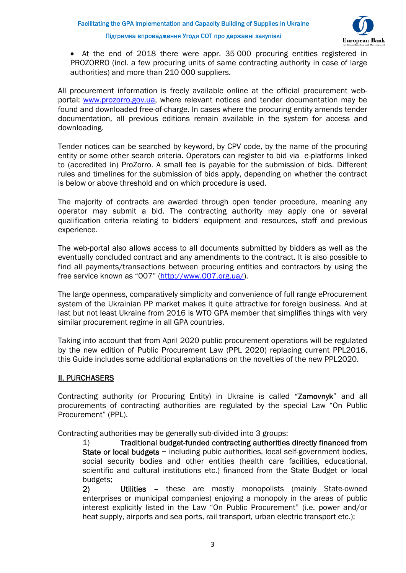

 At the end of 2018 there were appr. 35 000 procuring entities registered in PROZORRO (incl. a few procuring units of same contracting authority in case of large authorities) and more than 210 000 suppliers.

All procurement information is freely available online at the official procurement webportal: www.prozorro.gov.ua, where relevant notices and tender documentation may be found and downloaded free-of-charge. In cases where the procuring entity amends tender documentation, all previous editions remain available in the system for access and downloading.

Tender notices can be searched by keyword, by CPV code, by the name of the procuring entity or some other search criteria. Operators can register to bid via e-platforms linked to (accredited in) ProZorro. A small fee is payable for the submission of bids. Different rules and timelines for the submission of bids apply, depending on whether the contract is below or above threshold and on which procedure is used.

The majority of contracts are awarded through open tender procedure, meaning any operator may submit a bid. The contracting authority may apply one or several qualification criteria relating to bidders' equipment and resources, staff and previous experience.

The web-portal also allows access to all documents submitted by bidders as well as the eventually concluded contract and any amendments to the contract. It is also possible to find all payments/transactions between procuring entities and contractors by using the free service known as "007" (http://www.007.org.ua/).

The large openness, comparatively simplicity and convenience of full range eProcurement system of the Ukrainian PP market makes it quite attractive for foreign business. And at last but not least Ukraine from 2016 is WTO GPA member that simplifies things with very similar procurement regime in all GPA countries.

Taking into account that from April 2020 public procurement operations will be regulated by the new edition of Public Procurement Law (PPL 2020) replacing current PPL2016, this Guide includes some additional explanations on the novelties of the new PPL2020.

# ІI. PURCHASERS

Contracting authority (or Procuring Entity) in Ukraine is called "Zamovnyk" and all procurements of contracting authorities are regulated by the special Law "On Public Procurement" (PPL).

Contracting authorities may be generally sub-divided into 3 groups:

1) Traditional budget-funded contracting authorities directly financed from State or local budgets − including pubic authorities, local self-government bodies, social security bodies and other entities (health care facilities, educational, scientific and cultural institutions etc.) financed from the State Budget or local budgets;

2) Utilities – these are mostly monopolists (mainly State-owned enterprises or municipal companies) enjoying a monopoly in the areas of public interest explicitly listed in the Law "On Public Procurement" (i.e. power and/or heat supply, airports and sea ports, rail transport, urban electric transport etc.);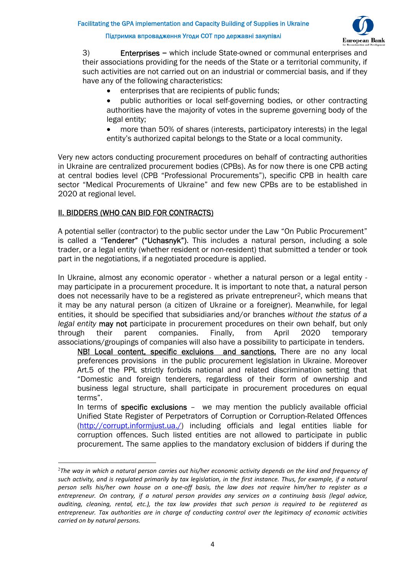

3) Enterprises − which include State-owned or communal enterprises and their associations providing for the needs of the State or a territorial community, if such activities are not carried out on an industrial or commercial basis, and if they have any of the following characteristics:

- enterprises that are recipients of public funds;
- public authorities or local self-governing bodies, or other contracting authorities have the majority of votes in the supreme governing body of the legal entity;
- more than 50% of shares (interests, participatory interests) in the legal entity's authorized capital belongs to the State or a local community.

Very new actors conducting procurement procedures on behalf of contracting authorities in Ukraine are centralized procurement bodies (CPBs). As for now there is one CPB acting at central bodies level (CPB "Professional Procurements"), specific CPB in health care sector "Medical Procurements of Ukraine" and few new CPBs are to be established in 2020 at regional level.

# II. BIDDERS (WHO CAN BID FOR CONTRACTS)

A potential seller (contractor) to the public sector under the Law "On Public Procurement" is called a "Tenderer" ("Uchasnyk"). This includes a natural person, including a sole trader, or a legal entity (whether resident or non-resident) that submitted a tender or took part in the negotiations, if a negotiated procedure is applied.

In Ukraine, almost any economic operator - whether a natural person or a legal entity may participate in a procurement procedure. It is important to note that, a natural person does not necessarily have to be a registered as private entrepreneur<sup>2</sup>, which means that it may be any natural person (a citizen of Ukraine or a foreigner). Meanwhile, for legal entities, it should be specified that subsidiaries and/or branches *without the status of a legal entity* may not participate in procurement procedures on their own behalf, but only through their parent companies. Finally, from April 2020 temporary associations/groupings of companies will also have a possibility to participate in tenders.

NB! Local content, specific excluions and sanctions. There are no any local preferences provisions in the public procurement legislation in Ukraine. Moreover Art.5 of the PPL strictly forbids national and related discrimination setting that "Domestic and foreign tenderers, regardless of their form of ownership and business legal structure, shall participate in procurement procedures on equal terms".

In terms of **specific exclusions** – we may mention the publicly available official Unified State Register of Perpetrators of Corruption or Corruption-Related Offences (http://corrupt.informjust.ua./) including officials and legal entities liable for corruption offences. Such listed entities are not allowed to participate in public procurement. The same applies to the mandatory exclusion of bidders if during the

<sup>2</sup>*The way in which a natural person carries out his/her economic activity depends on the kind and frequency of such activity, and is regulated primarily by tax legislation, in the first instance. Thus, for example, if a natural person sells his/her own house on a one-off basis, the law does not require him/her to register as a entrepreneur. On contrary, if a natural person provides any services on a continuing basis (legal advice, auditing, cleaning, rental, etc.), the tax law provides that such person is required to be registered as entrepreneur. Tax authorities are in charge of conducting control over the legitimacy of economic activities carried on by natural persons.*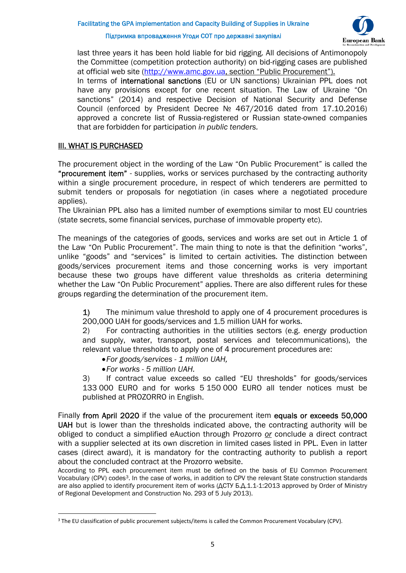

last three years it has been hold liable for bid rigging. All decisions of Antimonopoly the Committee (competition protection authority) on bid-rigging cases are published at official web site (http://www.amc.gov.ua, section "Public Procurement"). In terms of international sanctions (EU or UN sanctions) Ukrainian PPL does not have any provisions except for one recent situation. The Law of Ukraine "On sanctions" (2014) and respective Decision of National Security and Defense Council (enforced by President Decree № 467/2016 dated from 17.10.2016) approved a concrete list of Russia-registered or Russian state-owned companies that are forbidden for participation *in public tenders.* 

## ІІІ. WHAT IS PURCHASED

The procurement object in the wording of the Law "On Public Procurement" is called the "procurement item" - supplies, works or services purchased by the contracting authority within a single procurement procedure, in respect of which tenderers are permitted to submit tenders or proposals for negotiation (in cases where a negotiated procedure applies).

The Ukrainian PPL also has a limited number of exemptions similar to most EU countries (state secrets, some financial services, purchase of immovable property etc).

The meanings of the categories of goods, services and works are set out in Article 1 of the Law "On Public Procurement". The main thing to note is that the definition "works", unlike "goods" and "services" is limited to certain activities. The distinction between goods/services procurement items and those concerning works is very important because these two groups have different value thresholds as criteria determining whether the Law "On Public Procurement" applies. There are also different rules for these groups regarding the determination of the procurement item.

1) The minimum value threshold to apply one of 4 procurement procedures is 200,000 UAH for goods/services and 1.5 million UAH for works.

2) For contracting authorities in the utilities sectors (e.g. energy production and supply, water, transport, postal services and telecommunications), the relevant value thresholds to apply one of 4 procurement procedures are:

*For goods/services - 1 million UAH,* 

*For works - 5 million UAH.* 

3) If contract value exceeds so called "EU thresholds" for goods/services 133 000 EURO and for works 5 150 000 EURO all tender notices must be published at PROZORRO in English.

Finally from April 2020 if the value of the procurement item equals or exceeds 50,000 UAH but is lower than the thresholds indicated above, the contracting authority will be obliged to conduct a simplified eAuction through Prozorro *or* conclude a direct contract with a supplier selected at its own discretion in limited cases listed in PPL. Even in latter cases (direct award), it is mandatory for the contracting authority to publish a report about the concluded contract at the Prozorro website.

According to PPL each procurement item must be defined on the basis of EU Common Procurement Vocabulary (CPV) codes<sup>3</sup>. In the case of works, in addition to CPV the relevant State construction standards are also applied to identify procurement item of works ( $\triangle$ CTY 5. $\triangle$ .1.1-1:2013 approved by Order of Ministry of Regional Development and Construction No. 293 of 5 July 2013).

<sup>&</sup>lt;sup>3</sup> The EU classification of public procurement subjects/items is called the Common Procurement Vocabulary (CPV).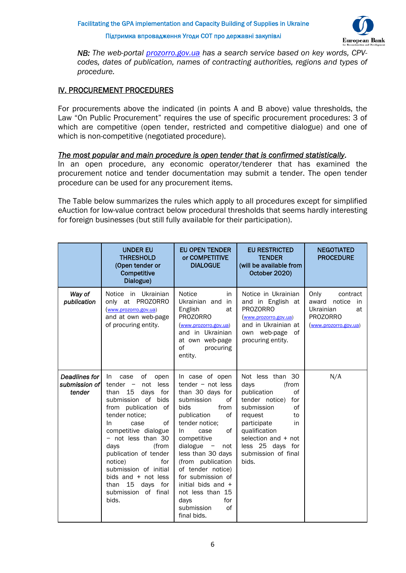Facilitating the GPA implementation and Capacity Building of Supplies in Ukraine

Підтримка впровадження Угоди СОТ про державні закупівлі



*NB: The web-portal prozorro.gov.ua has a search service based on key words, CPVcodes, dates of publication, names of contracting authorities, regions and types of procedure.* 

# ІV. PROCUREMENT PROCEDURES

For procurements above the indicated (in points A and B above) value thresholds, the Law "On Public Procurement" requires the use of specific procurement procedures: 3 of which are competitive (open tender, restricted and competitive dialogue) and one of which is non-competitive (negotiated procedure).

#### *The most popular and main procedure is open tender that is confirmed statistically*.

In an open procedure, any economic operator/tenderer that has examined the procurement notice and tender documentation may submit a tender. The open tender procedure can be used for any procurement items.

The Table below summarizes the rules which apply to all procedures except for simplified eAuction for low-value contract below procedural thresholds that seems hardly interesting for foreign businesses (but still fully available for their participation).

|                                          | <b>UNDER EU</b><br><b>THRESHOLD</b><br>(Open tender or<br>Competitive<br>Dialogue)                                                                                                                                                                                                                                                                                                           | <b>EU OPEN TENDER</b><br>or COMPETITIVE<br><b>DIALOGUE</b>                                                                                                                                                                                                                                                                                                                                                | <b>EU RESTRICTED</b><br><b>TENDER</b><br>(will be available from<br>October 2020)                                                                                                                                                     | <b>NEGOTIATED</b><br><b>PROCEDURE</b>                                                                    |
|------------------------------------------|----------------------------------------------------------------------------------------------------------------------------------------------------------------------------------------------------------------------------------------------------------------------------------------------------------------------------------------------------------------------------------------------|-----------------------------------------------------------------------------------------------------------------------------------------------------------------------------------------------------------------------------------------------------------------------------------------------------------------------------------------------------------------------------------------------------------|---------------------------------------------------------------------------------------------------------------------------------------------------------------------------------------------------------------------------------------|----------------------------------------------------------------------------------------------------------|
| Way of<br>publication                    | Notice in Ukrainian<br>only at PROZORRO<br>(www.prozorro.gov.ua)<br>and at own web-page<br>of procuring entity.                                                                                                                                                                                                                                                                              | Notice<br>in<br>Ukrainian and<br>in<br>English<br>at<br><b>PROZORRO</b><br>(www.prozorro.gov.ua)<br>and in Ukrainian<br>at own web-page<br>of<br>procuring<br>entity.                                                                                                                                                                                                                                     | Notice in Ukrainian<br>and in English at<br><b>PROZORRO</b><br>(www.prozorro.gov.ua)<br>and in Ukrainian at<br>own web-page<br>of<br>procuring entity.                                                                                | Only<br>contract<br>award<br>notice<br>in<br>Ukrainian<br>at<br><b>PROZORRO</b><br>(www.prozorro.gov.ua) |
| Deadlines for<br>submission of<br>tender | of<br>case<br>In<br>open<br>$tender -$<br>less<br>not<br>than<br>15<br>days<br>for<br>submission of bids<br>from publication of<br>tender notice;<br>of<br>In.<br>case<br>competitive dialogue<br>- not less than 30<br>days<br>(from<br>publication of tender<br>notice)<br>for<br>submission of initial<br>bids and $+$ not less<br>15<br>days for<br>than<br>submission of final<br>bids. | In case of open<br>$t$ ender – not less<br>than 30 days for<br>submission<br>of<br>bids<br>from<br>publication<br>of<br>tender notice;<br>of<br>case<br>In.<br>competitive<br>dialogue<br>$\overline{\phantom{a}}$<br>not<br>less than 30 days<br>(from publication<br>of tender notice)<br>for submission of<br>initial bids and +<br>not less than 15<br>for<br>days<br>submission<br>of<br>final bids. | Not less than 30<br>days<br>(from<br>publication<br>οf<br>tender notice)<br>for<br>submission<br>of<br>request<br>to<br>participate<br>in<br>qualification<br>selection and + not<br>less 25 days for<br>submission of final<br>bids. | N/A                                                                                                      |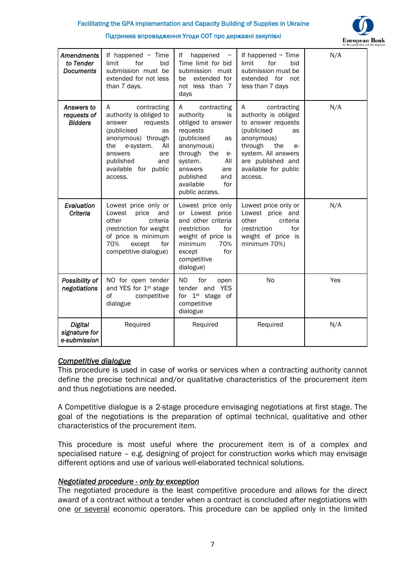

|                                                    |                                                                                                                                                                                                                  |                                                                                                                                                                                                                                |                                                                                                                                                                                                            | for Reconstructio |
|----------------------------------------------------|------------------------------------------------------------------------------------------------------------------------------------------------------------------------------------------------------------------|--------------------------------------------------------------------------------------------------------------------------------------------------------------------------------------------------------------------------------|------------------------------------------------------------------------------------------------------------------------------------------------------------------------------------------------------------|-------------------|
| <b>Amendments</b><br>to Tender<br><b>Documents</b> | If happened $-$ Time<br>for<br>limit<br>bid<br>submission must be<br>extended for not less<br>than 7 days.                                                                                                       | happened<br>lf<br>Time limit for bid<br>submission must<br>extended for<br>be<br>not less than 7<br>days                                                                                                                       | If happened $-$ Time<br>for<br>limit<br>bid<br>submission must be<br>extended for not<br>less than 7 days                                                                                                  | N/A               |
| Answers to<br>requests of<br><b>Bidders</b>        | contracting<br>A<br>authority is obliged to<br>requests<br>answer<br>(publicised<br>as<br>anonymous) through<br>e-system.<br>All<br>the<br>answers<br>are<br>published<br>and<br>available for public<br>access. | contracting<br>A<br>authority<br>is.<br>obliged to answer<br>requests<br>(publicised<br>as<br>anonymous)<br>through<br>the<br>e-<br>system.<br>All<br>answers<br>are<br>published<br>and<br>available<br>for<br>public access. | contracting<br>A<br>authority is obliged<br>to answer requests<br>(publicised<br>as<br>anonymous)<br>through<br>the<br>$e-$<br>system. All answers<br>are published and<br>available for public<br>access. | N/A               |
| Evaluation<br>Criteria                             | Lowest price only or<br>price<br>Lowest<br>and<br>criteria<br>other<br>(restriction for weight<br>of price is minimum<br>70%<br>except<br>for<br>competitive dialogue)                                           | Lowest price only<br>or Lowest price<br>and other criteria<br>(restriction<br>for<br>weight of price is<br>minimum<br>70%<br>for<br>except<br>competitive<br>dialogue)                                                         | Lowest price only or<br>Lowest price and<br>other<br>criteria<br>(restriction<br>for<br>weight of price is<br>minimum 70%)                                                                                 | N/A               |
| Possibility of<br>negotiations                     | NO for open tender<br>and YES for 1st stage<br>of<br>competitive<br>dialogue                                                                                                                                     | NO<br>for<br>open<br>tender and YES<br>for 1 <sup>st</sup> stage of<br>competitive<br>dialogue                                                                                                                                 | No                                                                                                                                                                                                         | Yes               |
| <b>Digital</b><br>signature for<br>e-submission    | Required                                                                                                                                                                                                         | Required                                                                                                                                                                                                                       | Required                                                                                                                                                                                                   | N/A               |

#### *Competitive dialogue*

This procedure is used in case of works or services when a contracting authority cannot define the precise technical and/or qualitative characteristics of the procurement item and thus negotiations are needed.

A Competitive dialogue is a 2-stage procedure envisaging negotiations at first stage. The goal of the negotiations is the preparation of optimal technical, qualitative and other characteristics of the procurement item.

This procedure is most useful where the procurement item is of a complex and specialised nature – e.g. designing of project for construction works which may envisage different options and use of various well-elaborated technical solutions.

#### *Negotiated procedure - only by exception*

The negotiated procedure is the least competitive procedure and allows for the direct award of a contract without a tender when a contract is concluded after negotiations with one or several economic operators. This procedure can be applied only in the limited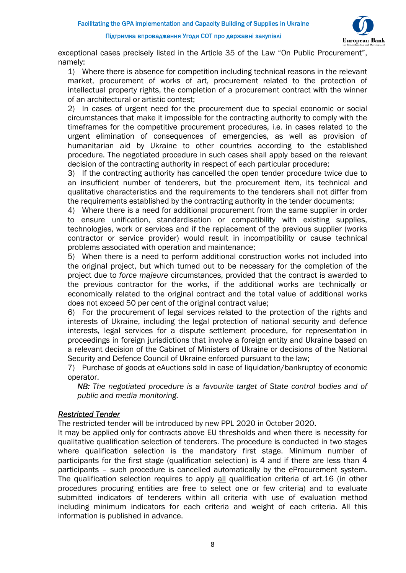

exceptional cases precisely listed in the Article 35 of the Law "On Public Procurement", namely:

1) Where there is absence for competition including technical reasons in the relevant market, procurement of works of art, procurement related to the protection of intellectual property rights, the completion of a procurement contract with the winner of an architectural or artistic contest;

2) In cases of urgent need for the procurement due to special economic or social circumstances that make it impossible for the contracting authority to comply with the timeframes for the competitive procurement procedures, i.e. in cases related to the urgent elimination of consequences of emergencies, as well as provision of humanitarian aid by Ukraine to other countries according to the established procedure. The negotiated procedure in such cases shall apply based on the relevant decision of the contracting authority in respect of each particular procedure;

3) If the contracting authority has cancelled the open tender procedure twice due to an insufficient number of tenderers, but the procurement item, its technical and qualitative characteristics and the requirements to the tenderers shall not differ from the requirements established by the contracting authority in the tender documents;

4) Where there is a need for additional procurement from the same supplier in order to ensure unification, standardisation or compatibility with existing supplies, technologies, work or services and if the replacement of the previous supplier (works contractor or service provider) would result in incompatibility or cause technical problems associated with operation and maintenance;

5) When there is a need to perform additional construction works not included into the original project, but which turned out to be necessary for the completion of the project due to *force majeure* circumstances, provided that the contract is awarded to the previous contractor for the works, if the additional works are technically or economically related to the original contract and the total value of additional works does not exceed 50 per cent of the original contract value;

6) For the procurement of legal services related to the protection of the rights and interests of Ukraine, including the legal protection of national security and defence interests, legal services for a dispute settlement procedure, for representation in proceedings in foreign jurisdictions that involve a foreign entity and Ukraine based on a relevant decision of the Cabinet of Ministers of Ukraine or decisions of the National Security and Defence Council of Ukraine enforced pursuant to the law;

7) Purchase of goods at eAuctions sold in case of liquidation/bankruptcy of economic operator.

*NB: The negotiated procedure is a favourite target of State control bodies and of public and media monitoring.* 

# *Restricted Tender*

The restricted tender will be introduced by new PPL 2020 in October 2020.

It may be applied only for contracts above EU thresholds and when there is necessity for qualitative qualification selection of tenderers. The procedure is conducted in two stages where qualification selection is the mandatory first stage. Minimum number of participants for the first stage (qualification selection) is 4 and if there are less than 4 participants – such procedure is cancelled automatically by the eProcurement system. The qualification selection requires to apply all qualification criteria of art.16 (in other procedures procuring entities are free to select one or few criteria) and to evaluate submitted indicators of tenderers within all criteria with use of evaluation method including minimum indicators for each criteria and weight of each criteria. All this information is published in advance.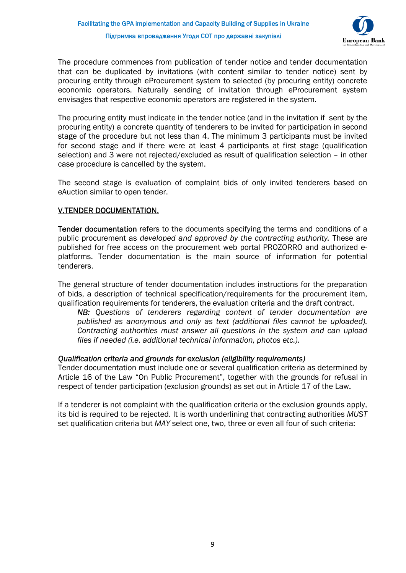

The procedure commences from publication of tender notice and tender documentation that can be duplicated by invitations (with content similar to tender notice) sent by procuring entity through eProcurement system to selected (by procuring entity) concrete economic operators. Naturally sending of invitation through eProcurement system envisages that respective economic operators are registered in the system.

The procuring entity must indicate in the tender notice (and in the invitation if sent by the procuring entity) a concrete quantity of tenderers to be invited for participation in second stage of the procedure but not less than 4. The minimum 3 participants must be invited for second stage and if there were at least 4 participants at first stage (qualification selection) and 3 were not rejected/excluded as result of qualification selection – in other case procedure is cancelled by the system.

The second stage is evaluation of complaint bids of only invited tenderers based on eAuction similar to open tender.

# V.TENDER DOCUMENTATION.

Tender documentation refers to the documents specifying the terms and conditions of a public procurement as *developed and approved by the contracting authority.* These are published for free access on the procurement web portal PROZORRO and authorized eplatforms. Tender documentation is the main source of information for potential tenderers.

The general structure of tender documentation includes instructions for the preparation of bids, a description of technical specification/requirements for the procurement item, qualification requirements for tenderers, the evaluation criteria and the draft contract.

*NB: Questions of tenderers regarding content of tender documentation are published as anonymous and only as text (additional files cannot be uploaded). Contracting authorities must answer all questions in the system and can upload files if needed (i.e. additional technical information, photos etc.).*

#### *Qualification criteria and grounds for exclusion (eligibility requirements)*

Tender documentation must include one or several qualification criteria as determined by Article 16 of the Law "On Public Procurement", together with the grounds for refusal in respect of tender participation (exclusion grounds) as set out in Article 17 of the Law.

If a tenderer is not complaint with the qualification criteria or the exclusion grounds apply, its bid is required to be rejected. It is worth underlining that contracting authorities *MUST* set qualification criteria but *MAY* select one, two, three or even all four of such criteria: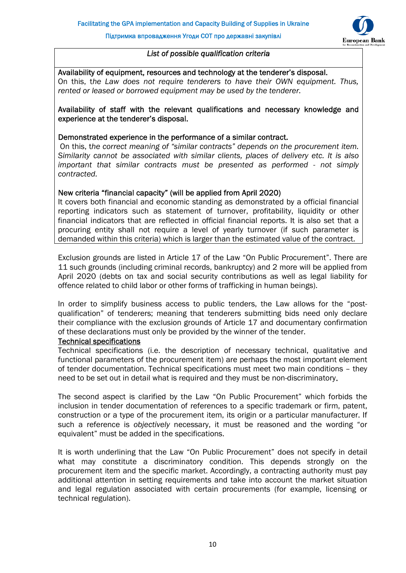

### *List of possible qualification criteria*

Availability of equipment, resources and technology at the tenderer's disposal. On this, t*he Law does not require tenderers to have their OWN equipment. Thus, rented or leased or borrowed equipment may be used by the tenderer.*

## Availability of staff with the relevant qualifications and necessary knowledge and experience at the tenderer's disposal.

#### Demonstrated experience in the performance of a similar contract.

 On this, t*he correct meaning of "similar contracts" depends on the procurement item. Similarity cannot be associated with similar clients, places of delivery etc. It is also important that similar contracts must be presented as performed - not simply contracted.* 

#### New criteria "financial capacity" (will be applied from April 2020)

It covers both financial and economic standing as demonstrated by a official financial reporting indicators such as statement of turnover, profitability, liquidity or other financial indicators that are reflected in official financial reports. It is also set that a procuring entity shall not require a level of yearly turnover (if such parameter is demanded within this criteria) which is larger than the estimated value of the contract.

Exclusion grounds are listed in Article 17 of the Law "On Public Procurement". There are 11 such grounds (including criminal records, bankruptcy) and 2 more will be applied from April 2020 (debts on tax and social security contributions as well as legal liability for offence related to child labor or other forms of trafficking in human beings).

In order to simplify business access to public tenders, the Law allows for the "postqualification" of tenderers; meaning that tenderers submitting bids need only declare their compliance with the exclusion grounds of Article 17 and documentary confirmation of these declarations must only be provided by the winner of the tender.

#### Technical specifications

Technical specifications (i.e. the description of necessary technical, qualitative and functional parameters of the procurement item) are perhaps the most important element of tender documentation. Technical specifications must meet two main conditions – they need to be set out in detail what is required and they must be non-discriminatory.

The second aspect is clarified by the Law "On Public Procurement" which forbids the inclusion in tender documentation of references to a specific trademark or firm, patent, construction or a type of the procurement item, its origin or a particular manufacturer. If such a reference is *objectively* necessary, it must be reasoned and the wording "or equivalent" must be added in the specifications.

It is worth underlining that the Law "On Public Procurement" does not specify in detail what may constitute a discriminatory condition. This depends strongly on the procurement item and the specific market. Accordingly, a contracting authority must pay additional attention in setting requirements and take into account the market situation and legal regulation associated with certain procurements (for example, licensing or technical regulation).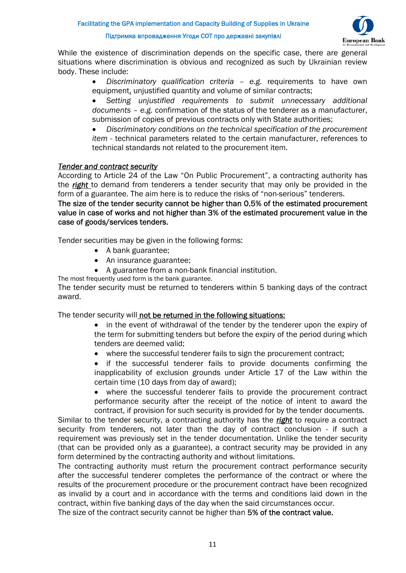

While the existence of discrimination depends on the specific case, there are general situations where discrimination is obvious and recognized as such by Ukrainian review body. These include:

> *Discriminatory qualification criteria – e.g.* requirements to have own equipment, unjustified quantity and volume of similar contracts;

> *Setting unjustified requirements to submit unnecessary additional documents – e.g.* confirmation of the status of the tenderer as a manufacturer, submission of copies of previous contracts only with State authorities;

> *Discriminatory conditions on the technical specification of the procurement item -* technical parameters related to the certain manufacturer, references to technical standards not related to the procurement item.

#### *Tender and contract security*

According to Article 24 of the Law "On Public Procurement", a contracting authority has the *right* to demand from tenderers a tender security that may only be provided in the form of a guarantee. The aim here is to reduce the risks of "non-serious" tenderers.

The size of the tender security cannot be higher than 0.5% of the estimated procurement value in case of works and not higher than 3% of the estimated procurement value in the case of goods/services tenders.

Tender securities may be given in the following forms:

- A bank guarantee:
- An insurance guarantee;
- A guarantee from a non-bank financial institution.

The most frequently used form is the bank guarantee.

The tender security must be returned to tenderers within 5 banking days of the contract award.

The tender security will not be returned in the following situations:

- in the event of withdrawal of the tender by the tenderer upon the expiry of the term for submitting tenders but before the expiry of the period during which tenders are deemed valid;
- where the successful tenderer fails to sign the procurement contract;
- if the successful tenderer fails to provide documents confirming the inapplicability of exclusion grounds under Article 17 of the Law within the certain time (10 days from day of award);
- where the successful tenderer fails to provide the procurement contract performance security after the receipt of the notice of intent to award the contract, if provision for such security is provided for by the tender documents.

Similar to the tender security, a contracting authority has the *right* to require a contract security from tenderers, not later than the day of contract conclusion - if such a requirement was previously set in the tender documentation. Unlike the tender security (that can be provided only as a guarantee), a contract security may be provided in any form determined by the contracting authority and without limitations.

The contracting authority must return the procurement contract performance security after the successful tenderer completes the performance of the contract or where the results of the procurement procedure or the procurement contract have been recognized as invalid by a court and in accordance with the terms and conditions laid down in the contract, within five banking days of the day when the said circumstances occur.

The size of the contract security cannot be higher than 5% of the contract value.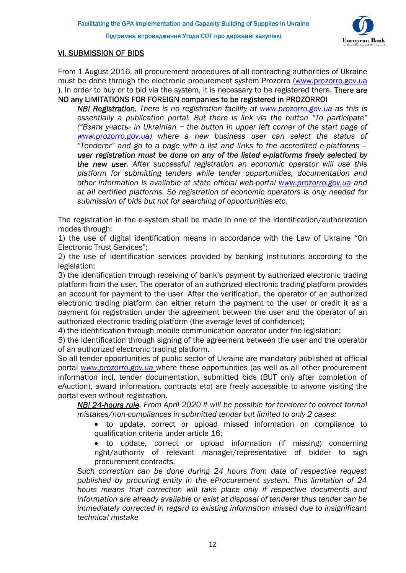

# VI. SUBMISSION OF BIDS

From 1 August 2016, all procurement procedures of all contracting authorities of Ukraine must be done through the electronic procurement system Prozorro (www.prozorro.gov.ua ). In order to buy or to bid via the system, it is necessary to be registered there. There are NO any LIMITATIONS FOR FOREIGN companies to be registered in PROZORRO!

*NB! Registration. There is no registration facility at www.prozorro.gov.ua as this is essentially a publication portal. But there is link via the button "To participate" ("Взяти участь» in Ukrainian − the button in upper left corner of the start page of www.prozorro.gov.ua) where a new business user can select the status of "Tenderer" and go to a page with a list and links to the accredited e-platforms – user registration must be done on any of the listed e-platforms freely selected by the new user. After successful registration an economic operator will use this platform for submitting tenders while tender opportunities, documentation and other information is available at state official web-portal www.prozorro.gov.ua and at all certified platforms. So registration of economic operators is only needed for submission of bids but not for searching of opportunities etc.* 

The registration in the e-system shall be made in one of the identification/authorization modes through:

1) the use of digital identification means in accordance with the Law of Ukraine "On Electronic Trust Services";

2) the use of identification services provided by banking institutions according to the legislation;

3) the identification through receiving of bank's payment by authorized electronic trading platform from the user. The operator of an authorized electronic trading platform provides an account for payment to the user. After the verification, the operator of an authorized electronic trading platform can either return the payment to the user or credit it as a payment for registration under the agreement between the user and the operator of an authorized electronic trading platform (the average level of confidence);

4) the identification through mobile communication operator under the legislation;

5) the identification through signing of the agreement between the user and the operator of an authorized electronic trading platform.

So all tender opportunities of public sector of Ukraine are mandatory published at official portal *www.prozorro.gov.ua* where these opportunities (as well as all other procurement information incl. tender documentation, submitted bids (BUT only after completion of eAuction), award information, contracts etc) are freely accessible to anyone visiting the portal even without registration.

*NB! 24-hours rule. From April 2020 it will be possible for tenderer to correct formal mistakes/non-compliances in submitted tender but limited to only 2 cases:* 

 to update, correct or upload missed information on compliance to qualification criteria under article 16;

 to update, correct or upload information (if missing) concerning right/authority of relevant manager/representative of bidder to sign procurement contracts.

*Such correction can be done during 24 hours from date of respective request published by procuring entity in the eProcurement system. This limitation of 24 hours means that correction will take place only if respective documents and information are already available or exist at disposal of tenderer thus tender can be immediately corrected in regard to existing information missed due to insignificant technical mistake*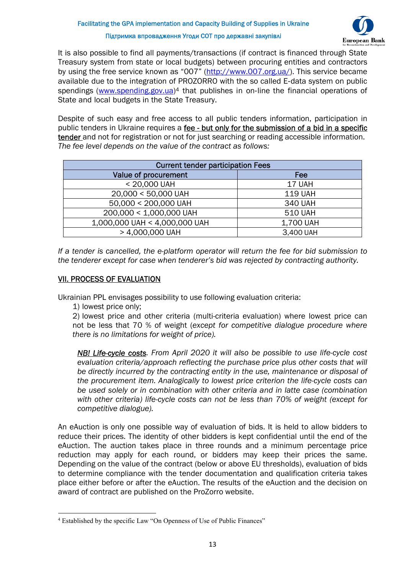

It is also possible to find all payments/transactions (if contract is financed through State Treasury system from state or local budgets) between procuring entities and contractors by using the free service known as "007" (http://www.007.org.ua/). This service became available due to the integration of PROZORRO with the so called E‐data system on public spendings (www.spending.gov.ua)<sup>4</sup> that publishes in on-line the financial operations of State and local budgets in the State Treasury.

Despite of such easy and free access to all public tenders information, participation in public tenders in Ukraine requires a fee - but only for the submission of a bid in a specific tender and not for registration or not for just searching or reading accessible information. *The fee level depends on the value of the contract as follows:* 

| <b>Current tender participation Fees</b> |                |  |  |  |
|------------------------------------------|----------------|--|--|--|
| Value of procurement                     | Fee            |  |  |  |
| < 20,000 UAH                             | 17 UAH         |  |  |  |
| 20,000 < 50,000 UAH                      | <b>119 UAH</b> |  |  |  |
| 50,000 < 200,000 UAH                     | <b>340 UAH</b> |  |  |  |
| 200,000 < 1,000,000 UAH                  | <b>510 UAH</b> |  |  |  |
| 1,000,000 UAH < 4,000,000 UAH            | 1,700 UAH      |  |  |  |
| > 4,000,000 UAH                          | 3,400 UAH      |  |  |  |

*If a tender is cancelled, the e-platform operator will return the fee for bid submission to the tenderer except for case when tenderer's bid was rejected by contracting authority.*

# VII. PROCESS OF EVALUATION

Ukrainian PPL envisages possibility to use following evaluation criteria:

1) lowest price only;

2) lowest price and other criteria (multi-criteria evaluation) where lowest price can not be less that 70 % of weight (*except for competitive dialogue procedure where there is no limitations for weight of price).*

*NB! Life-cycle costs. From April 2020 it will also be possible to use life-cycle cost evaluation criteria/approach reflecting the purchase price plus other costs that will be directly incurred by the contracting entity in the use, maintenance or disposal of the procurement item. Analogically to lowest price criterion the life-cycle costs can be used solely or in combination with other criteria and in latte case (combination with other criteria) life-cycle costs can not be less than 70% of weight (except for competitive dialogue).* 

An eAuction is only one possible way of evaluation of bids. It is held to allow bidders to reduce their prices. The identity of other bidders is kept confidential until the end of the eAuction. The auction takes place in three rounds and a minimum percentage price reduction may apply for each round, or bidders may keep their prices the same. Depending on the value of the contract (below or above EU thresholds), evaluation of bids to determine compliance with the tender documentation and qualification criteria takes place either before or after the eAuction. The results of the eAuction and the decision on award of contract are published on the ProZorro website.

<sup>&</sup>lt;sup>4</sup> Established by the specific Law "On Openness of Use of Public Finances"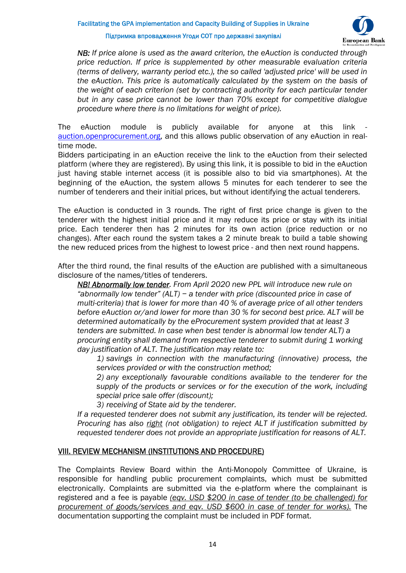# **European Bank**

#### Підтримка впровадження Угоди СОТ про державні закупівлі

*NB: If price alone is used as the award criterion, the eAuction is conducted through price reduction. If price is supplemented by other measurable evaluation criteria (terms of delivery, warranty period etc.), the so called 'adjusted price' will be used in the eAuction. This price is automatically calculated by the system on the basis of the weight of each criterion (set by contracting authority for each particular tender but in any case price cannot be lower than 70% except for competitive dialogue procedure where there is no limitations for weight of price).* 

The eAuction module is publicly available for anyone at this link auction.openprocurement.org, and this allows public observation of any eAuction in realtime mode.

Bidders participating in an eAuction receive the link to the eAuction from their selected platform (where they are registered). By using this link, it is possible to bid in the eAuction just having stable internet access (it is possible also to bid via smartphones). At the beginning of the eAuction, the system allows 5 minutes for each tenderer to see the number of tenderers and their initial prices, but without identifying the actual tenderers.

The eAuction is conducted in 3 rounds. The right of first price change is given to the tenderer with the highest initial price and it may reduce its price or stay with its initial price. Each tenderer then has 2 minutes for its own action (price reduction or no changes). After each round the system takes a 2 minute break to build a table showing the new reduced prices from the highest to lowest price - and then next round happens.

After the third round, the final results of the eAuction are published with a simultaneous disclosure of the names/titles of tenderers.

*NB! Abnormally low tender. From April 2020 new PPL will introduce new rule on "abnormally low tender" (ALT) − a tender with price (discounted price in case of multi-criteria) that is lower for more than 40 % of average price of all other tenders before eAuction or/and lower for more than 30 % for second best price. ALT will be determined automatically by the eProcurement system provided that at least 3 tenders are submitted. In case when best tender is abnormal low tender ALT) a procuring entity shall demand from respective tenderer to submit during 1 working day justification of ALT. The justification may relate to:* 

*1) savings in connection with the manufacturing (innovative) process, the services provided or with the construction method;* 

*2) any exceptionally favourable conditions available to the tenderer for the supply of the products or services or for the execution of the work, including special price sale offer (discount);* 

*3) receiving of State aid by the tenderer.* 

*If a requested tenderer does not submit any justification, its tender will be rejected. Procuring has also right (not obligation) to reject ALT if justification submitted by requested tenderer does not provide an appropriate justification for reasons of ALT.* 

# VIII. REVIEW MECHANISM (INSTITUTIONS AND PROCEDURE)

The Complaints Review Board within the Anti-Monopoly Committee of Ukraine, is responsible for handling public procurement complaints, which must be submitted electronically. Complaints are submitted via the e-platform where the complainant is registered and a fee is payable *(eqv. USD \$200 in case of tender (to be challenged) for procurement of goods/services and eqv. USD \$600 in case of tender for works).* The documentation supporting the complaint must be included in PDF format.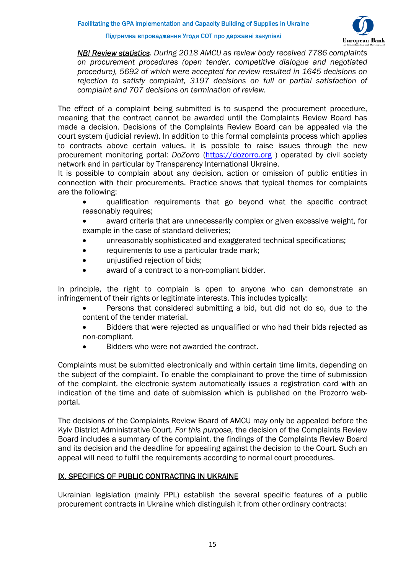

*NB! Review statistics. During 2018 AMCU as review body received 7786 complaints on procurement procedures (open tender, competitive dialogue and negotiated procedure), 5692 of which were accepted for review resulted in 1645 decisions on rejection to satisfy complaint, 3197 decisions on full or partial satisfaction of complaint and 707 decisions on termination of review.* 

The effect of a complaint being submitted is to suspend the procurement procedure, meaning that the contract cannot be awarded until the Complaints Review Board has made a decision. Decisions of the Complaints Review Board can be appealed via the court system (judicial review). In addition to this formal complaints process which applies to contracts above certain values, it is possible to raise issues through the new procurement monitoring portal: *DoZorro* (https://dozorro.org ) operated by civil society network and in particular by Transparency International Ukraine.

It is possible to complain about any decision, action or omission of public entities in connection with their procurements. Practice shows that typical themes for complaints are the following:

- qualification requirements that go beyond what the specific contract reasonably requires;
- award criteria that are unnecessarily complex or given excessive weight, for example in the case of standard deliveries;
- unreasonably sophisticated and exaggerated technical specifications;
- requirements to use a particular trade mark;
- unjustified rejection of bids;
- award of a contract to a non-compliant bidder.

In principle, the right to complain is open to anyone who can demonstrate an infringement of their rights or legitimate interests. This includes typically:

- Persons that considered submitting a bid, but did not do so, due to the content of the tender material.
- Bidders that were rejected as unqualified or who had their bids rejected as non-compliant.
- Bidders who were not awarded the contract.

Complaints must be submitted electronically and within certain time limits, depending on the subject of the complaint. To enable the complainant to prove the time of submission of the complaint, the electronic system automatically issues a registration card with an indication of the time and date of submission which is published on the Prozorro webportal.

The decisions of the Complaints Review Board of AMCU may only be appealed before the Kyiv District Administrative Court. *For this purpose,* the decision of the Complaints Review Board includes a summary of the complaint, the findings of the Complaints Review Board and its decision and the deadline for appealing against the decision to the Court. Such an appeal will need to fulfil the requirements according to normal court procedures.

# IX. SPECIFICS OF PUBLIC CONTRACTING IN UKRAINE

Ukrainian legislation (mainly PPL) establish the several specific features of a public procurement contracts in Ukraine which distinguish it from other ordinary contracts: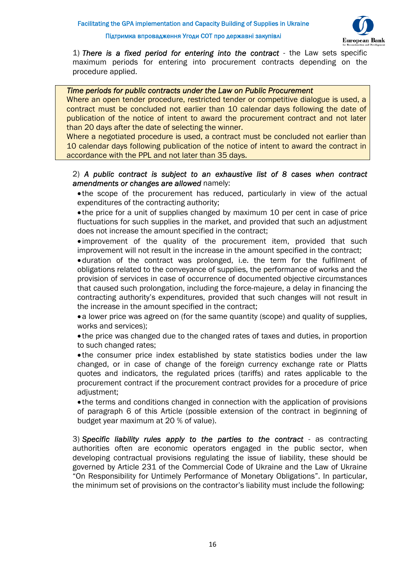

1) *There is a fixed period for entering into the contract* - the Law sets specific maximum periods for entering into procurement contracts depending on the procedure applied.

#### *Time periods for public contracts under the Law on Public Procurement*

Where an open tender procedure, restricted tender or competitive dialogue is used, a contract must be concluded not earlier than 10 calendar days following the date of publication of the notice of intent to award the procurement contract and not later than 20 days after the date of selecting the winner.

Where a negotiated procedure is used, a contract must be concluded not earlier than 10 calendar days following publication of the notice of intent to award the contract in accordance with the PPL and not later than 35 days.

#### 2) *A public contract is subject to an exhaustive list of 8 cases when contract amendments or changes are allowed* namely:

• the scope of the procurement has reduced, particularly in view of the actual expenditures of the contracting authority;

 the price for a unit of supplies changed by maximum 10 per cent in case of price fluctuations for such supplies in the market, and provided that such an adjustment does not increase the amount specified in the contract;

 improvement of the quality of the procurement item, provided that such improvement will not result in the increase in the amount specified in the contract;

duration of the contract was prolonged, i.e. the term for the fulfilment of obligations related to the conveyance of supplies, the performance of works and the provision of services in case of occurrence of documented objective circumstances that caused such prolongation, including the force-majeure, a delay in financing the contracting authority's expenditures, provided that such changes will not result in the increase in the amount specified in the contract;

• a lower price was agreed on (for the same quantity (scope) and quality of supplies, works and services);

 the price was changed due to the changed rates of taxes and duties, in proportion to such changed rates;

• the consumer price index established by state statistics bodies under the law changed, or in case of change of the foreign currency exchange rate or Platts quotes and indicators, the regulated prices (tariffs) and rates applicable to the procurement contract if the procurement contract provides for a procedure of price adjustment;

 the terms and conditions changed in connection with the application of provisions of paragraph 6 of this Article (possible extension of the contract in beginning of budget year maximum at 20 % of value).

3) *Specific liability rules apply to the parties to the contract* - as contracting authorities often are economic operators engaged in the public sector, when developing contractual provisions regulating the issue of liability, these should be governed by Article 231 of the Commercial Code of Ukraine and the Law of Ukraine "On Responsibility for Untimely Performance of Monetary Obligations". In particular, the minimum set of provisions on the contractor's liability must include the following: